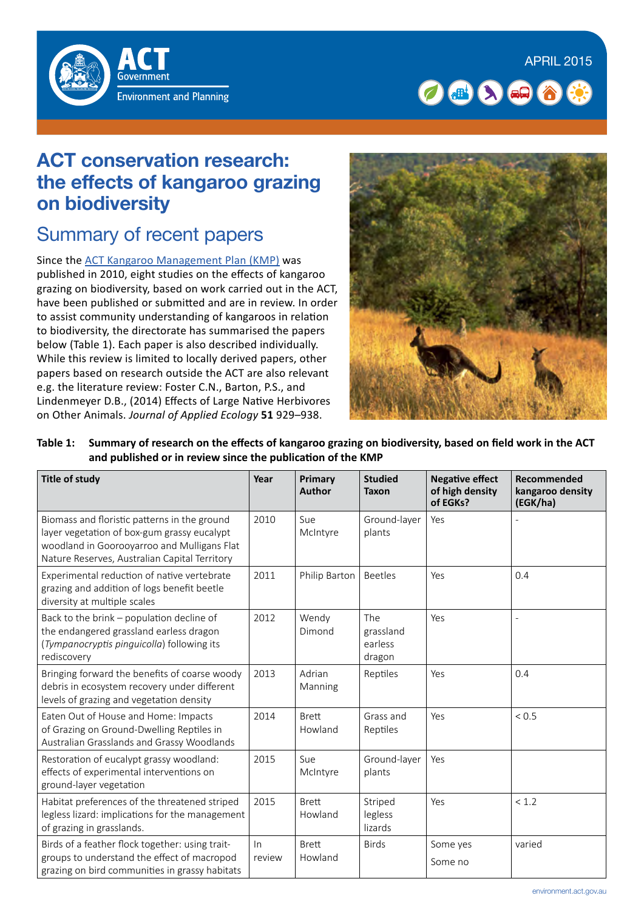



## **ACT conservation research: the effects of kangaroo grazing on biodiversity**

# Summary of recent papers

Since the [ACT Kangaroo Management Plan \(KMP\)](http://www.tams.act.gov.au/__data/assets/pdf_file/0012/394698/Kangaroo_Management_Plan_complete_for_web.pdf) was published in 2010, eight studies on the effects of kangaroo grazing on biodiversity, based on work carried out in the ACT, have been published or submitted and are in review. In order to assist community understanding of kangaroos in relation to biodiversity, the directorate has summarised the papers below (Table 1). Each paper is also described individually. While this review is limited to locally derived papers, other papers based on research outside the ACT are also relevant e.g. the literature review: Foster C.N., Barton, P.S., and Lindenmeyer D.B., (2014) Effects of Large Native Herbivores on Other Animals. *Journal of Applied Ecology* **51** 929–938.



**Table 1: Summary of research on the effects of kangaroo grazing on biodiversity, based on field work in the ACT and published or in review since the publication of the KMP** 

| <b>Title of study</b>                                                                                                                                                                       | Year         | Primary<br><b>Author</b> | <b>Studied</b><br><b>Taxon</b>        | <b>Negative effect</b><br>of high density<br>of EGKs? | Recommended<br>kangaroo density<br>(EGK/ha) |
|---------------------------------------------------------------------------------------------------------------------------------------------------------------------------------------------|--------------|--------------------------|---------------------------------------|-------------------------------------------------------|---------------------------------------------|
| Biomass and floristic patterns in the ground<br>layer vegetation of box-gum grassy eucalypt<br>woodland in Goorooyarroo and Mulligans Flat<br>Nature Reserves, Australian Capital Territory | 2010         | Sue<br>McIntyre          | Ground-layer<br>plants                | Yes                                                   |                                             |
| Experimental reduction of native vertebrate<br>grazing and addition of logs benefit beetle<br>diversity at multiple scales                                                                  | 2011         | Philip Barton            | <b>Beetles</b>                        | Yes                                                   | 0.4                                         |
| Back to the brink - population decline of<br>the endangered grassland earless dragon<br>(Tympanocryptis pinguicolla) following its<br>rediscovery                                           | 2012         | Wendy<br>Dimond          | The<br>grassland<br>earless<br>dragon | Yes                                                   |                                             |
| Bringing forward the benefits of coarse woody<br>debris in ecosystem recovery under different<br>levels of grazing and vegetation density                                                   | 2013         | Adrian<br>Manning        | Reptiles                              | Yes                                                   | 0.4                                         |
| Eaten Out of House and Home: Impacts<br>of Grazing on Ground-Dwelling Reptiles in<br>Australian Grasslands and Grassy Woodlands                                                             | 2014         | <b>Brett</b><br>Howland  | Grass and<br>Reptiles                 | Yes                                                   | < 0.5                                       |
| Restoration of eucalypt grassy woodland:<br>effects of experimental interventions on<br>ground-layer vegetation                                                                             | 2015         | Sue<br>McIntyre          | Ground-layer<br>plants                | Yes                                                   |                                             |
| Habitat preferences of the threatened striped<br>legless lizard: implications for the management<br>of grazing in grasslands.                                                               | 2015         | <b>Brett</b><br>Howland  | Striped<br>legless<br>lizards         | Yes                                                   | < 1.2                                       |
| Birds of a feather flock together: using trait-<br>groups to understand the effect of macropod<br>grazing on bird communities in grassy habitats                                            | ln<br>review | <b>Brett</b><br>Howland  | <b>Birds</b>                          | Some yes<br>Some no                                   | varied                                      |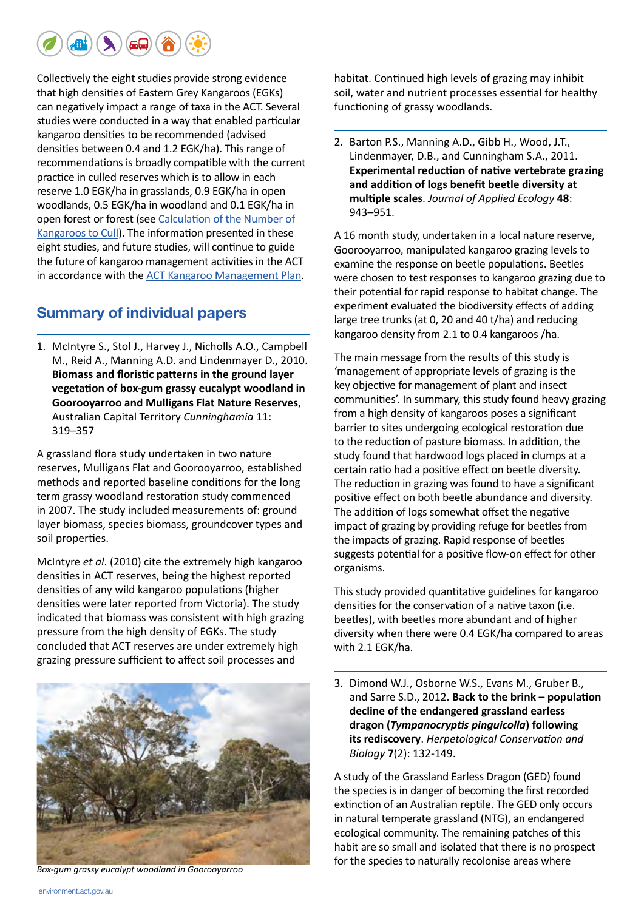

Collectively the eight studies provide strong evidence that high densities of Eastern Grey Kangaroos (EGKs) can negatively impact a range of taxa in the ACT. Several studies were conducted in a way that enabled particular kangaroo densities to be recommended (advised densities between 0.4 and 1.2 EGK/ha). This range of recommendations is broadly compatible with the current practice in culled reserves which is to allow in each reserve 1.0 EGK/ha in grasslands, 0.9 EGK/ha in open woodlands, 0.5 EGK/ha in woodland and 0.1 EGK/ha in open forest or forest (see [Calculation of the Number of](http://www.environment.act.gov.au/__data/assets/pdf_file/0004/576715/Calculation_of_the_number_of_kangaroos_to_cull_.pdf)  [Kangaroos to Cull](http://www.environment.act.gov.au/__data/assets/pdf_file/0004/576715/Calculation_of_the_number_of_kangaroos_to_cull_.pdf)). The information presented in these eight studies, and future studies, will continue to guide the future of kangaroo management activities in the ACT in accordance with the [ACT Kangaroo Management Plan](http://www.tams.act.gov.au/__data/assets/pdf_file/0012/394698/Kangaroo_Management_Plan_complete_for_web.pdf).

#### **Summary of individual papers**

1. McIntyre S., Stol J., Harvey J., Nicholls A.O., Campbell M., Reid A., Manning A.D. and Lindenmayer D., 2010. **[Biomass and floristic patterns in the ground layer](http://www.rbgsyd.nsw.gov.au/__data/assets/pdf_file/0012/106212/Cun113Mci319.pdf)  [vegetation of box-gum grassy eucalypt woodland in](http://www.rbgsyd.nsw.gov.au/__data/assets/pdf_file/0012/106212/Cun113Mci319.pdf)  [Goorooyarroo and Mulligans Flat Nature Reserves](http://www.rbgsyd.nsw.gov.au/__data/assets/pdf_file/0012/106212/Cun113Mci319.pdf)**, Australian Capital Territory *Cunninghamia* 11: 319–357

A grassland flora study undertaken in two nature reserves, Mulligans Flat and Goorooyarroo, established methods and reported baseline conditions for the long term grassy woodland restoration study commenced in 2007. The study included measurements of: ground layer biomass, species biomass, groundcover types and soil properties.

McIntyre *et al*. (2010) cite the extremely high kangaroo densities in ACT reserves, being the highest reported densities of any wild kangaroo populations (higher densities were later reported from Victoria). The study indicated that biomass was consistent with high grazing pressure from the high density of EGKs. The study concluded that ACT reserves are under extremely high grazing pressure sufficient to affect soil processes and



habitat. Continued high levels of grazing may inhibit soil, water and nutrient processes essential for healthy functioning of grassy woodlands.

2. Barton P.S., Manning A.D., Gibb H., Wood, J.T., Lindenmayer, D.B., and Cunningham S.A., 2011. **[Experimental reduction of native vertebrate grazing](http://onlinelibrary.wiley.com/doi/10.1111/j.1365-2664.2011.01994.x/abstract)  [and addition of logs benefit beetle diversity at](http://onlinelibrary.wiley.com/doi/10.1111/j.1365-2664.2011.01994.x/abstract)  [multiple scales](http://onlinelibrary.wiley.com/doi/10.1111/j.1365-2664.2011.01994.x/abstract)**. *Journal of Applied Ecology* **48**: 943–951.

A 16 month study, undertaken in a local nature reserve, Goorooyarroo, manipulated kangaroo grazing levels to examine the response on beetle populations. Beetles were chosen to test responses to kangaroo grazing due to their potential for rapid response to habitat change. The experiment evaluated the biodiversity effects of adding large tree trunks (at 0, 20 and 40 t/ha) and reducing kangaroo density from 2.1 to 0.4 kangaroos /ha.

The main message from the results of this study is 'management of appropriate levels of grazing is the key objective for management of plant and insect communities'. In summary, this study found heavy grazing from a high density of kangaroos poses a significant barrier to sites undergoing ecological restoration due to the reduction of pasture biomass. In addition, the study found that hardwood logs placed in clumps at a certain ratio had a positive effect on beetle diversity. The reduction in grazing was found to have a significant positive effect on both beetle abundance and diversity. The addition of logs somewhat offset the negative impact of grazing by providing refuge for beetles from the impacts of grazing. Rapid response of beetles suggests potential for a positive flow-on effect for other organisms.

This study provided quantitative guidelines for kangaroo densities for the conservation of a native taxon (i.e. beetles), with beetles more abundant and of higher diversity when there were 0.4 EGK/ha compared to areas with 2.1 EGK/ha.

3. Dimond W.J., Osborne W.S., Evans M., Gruber B., and Sarre S.D., 2012. **[Back to the brink – population](http://herpconbio.org/Volume_7/Issue_2/Dimond_etal_2012.pdf)  [decline of the endangered grassland earless](http://herpconbio.org/Volume_7/Issue_2/Dimond_etal_2012.pdf)  dragon (***[Tympanocryptis pinguicolla](http://herpconbio.org/Volume_7/Issue_2/Dimond_etal_2012.pdf)***) following [its rediscovery](http://herpconbio.org/Volume_7/Issue_2/Dimond_etal_2012.pdf)**. *Herpetological Conservation and Biology* **7**(2): 132-149.

A study of the Grassland Earless Dragon (GED) found the species is in danger of becoming the first recorded extinction of an Australian reptile. The GED only occurs in natural temperate grassland (NTG), an endangered ecological community. The remaining patches of this habit are so small and isolated that there is no prospect for the species to naturally recolonise areas where *Box-gum grassy eucalypt woodland in Goorooyarroo*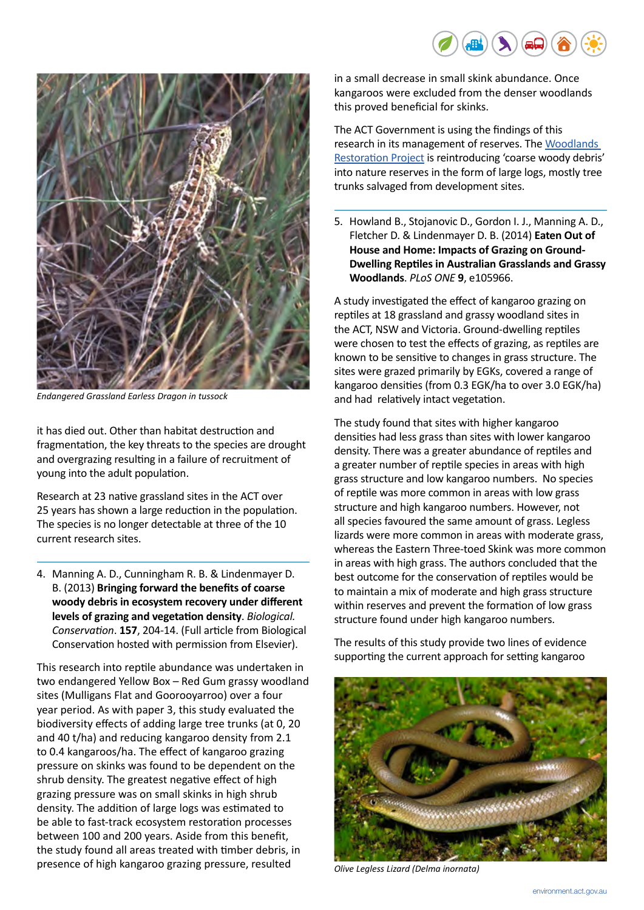



*Endangered Grassland Earless Dragon in tussock*

it has died out. Other than habitat destruction and fragmentation, the key threats to the species are drought and overgrazing resulting in a failure of recruitment of young into the adult population.

Research at 23 native grassland sites in the ACT over 25 years has shown a large reduction in the population. The species is no longer detectable at three of the 10 current research sites.

4. Manning A. D., Cunningham R. B. & Lindenmayer D. B. (2013) **Bringing forward the benefits of coarse woody debris in ecosystem recovery under different levels of grazing and vegetation density**. *Biological. Conservation*. **157**, 204-14. (Full article from Biological Conservation hosted with permission from Elsevier).

This research into reptile abundance was undertaken in two endangered Yellow Box – Red Gum grassy woodland sites (Mulligans Flat and Goorooyarroo) over a four year period. As with paper 3, this study evaluated the biodiversity effects of adding large tree trunks (at 0, 20 and 40 t/ha) and reducing kangaroo density from 2.1 to 0.4 kangaroos/ha. The effect of kangaroo grazing pressure on skinks was found to be dependent on the shrub density. The greatest negative effect of high grazing pressure was on small skinks in high shrub density. The addition of large logs was estimated to be able to fast-track ecosystem restoration processes between 100 and 200 years. Aside from this benefit, the study found all areas treated with timber debris, in presence of high kangaroo grazing pressure, resulted

in a small decrease in small skink abundance. Once kangaroos were excluded from the denser woodlands this proved beneficial for skinks.

The ACT Government is using the findings of this research in its management of reserves. The [Woodlands](http://www.cmd.act.gov.au/open_government/inform/act_government_media_releases/tamsd/2013/canberras-woodlands-restored-and-reconnected)  [Restoration Project](http://www.cmd.act.gov.au/open_government/inform/act_government_media_releases/tamsd/2013/canberras-woodlands-restored-and-reconnected) is reintroducing 'coarse woody debris' into nature reserves in the form of large logs, mostly tree trunks salvaged from development sites.

5. Howland B., Stojanovic D., Gordon I. J., Manning A. D., Fletcher D. & Lindenmayer D. B. (2014) **[Eaten Out of](http://journals.plos.org/plosone/article%3Fid%3D10.1371/journal.pone.0105966)  [House and Home: Impacts of Grazing on Ground-](http://journals.plos.org/plosone/article%3Fid%3D10.1371/journal.pone.0105966)[Dwelling Reptiles in Australian Grasslands and Grassy](http://journals.plos.org/plosone/article%3Fid%3D10.1371/journal.pone.0105966)  [Woodlands](http://journals.plos.org/plosone/article%3Fid%3D10.1371/journal.pone.0105966)**. *PLoS ONE* **9**, e105966.

A study investigated the effect of kangaroo grazing on reptiles at 18 grassland and grassy woodland sites in the ACT, NSW and Victoria. Ground-dwelling reptiles were chosen to test the effects of grazing, as reptiles are known to be sensitive to changes in grass structure. The sites were grazed primarily by EGKs, covered a range of kangaroo densities (from 0.3 EGK/ha to over 3.0 EGK/ha) and had relatively intact vegetation.

The study found that sites with higher kangaroo densities had less grass than sites with lower kangaroo density. There was a greater abundance of reptiles and a greater number of reptile species in areas with high grass structure and low kangaroo numbers. No species of reptile was more common in areas with low grass structure and high kangaroo numbers. However, not all species favoured the same amount of grass. Legless lizards were more common in areas with moderate grass, whereas the Eastern Three-toed Skink was more common in areas with high grass. The authors concluded that the best outcome for the conservation of reptiles would be to maintain a mix of moderate and high grass structure within reserves and prevent the formation of low grass structure found under high kangaroo numbers.

The results of this study provide two lines of evidence supporting the current approach for setting kangaroo



*Olive Legless Lizard (Delma inornata)*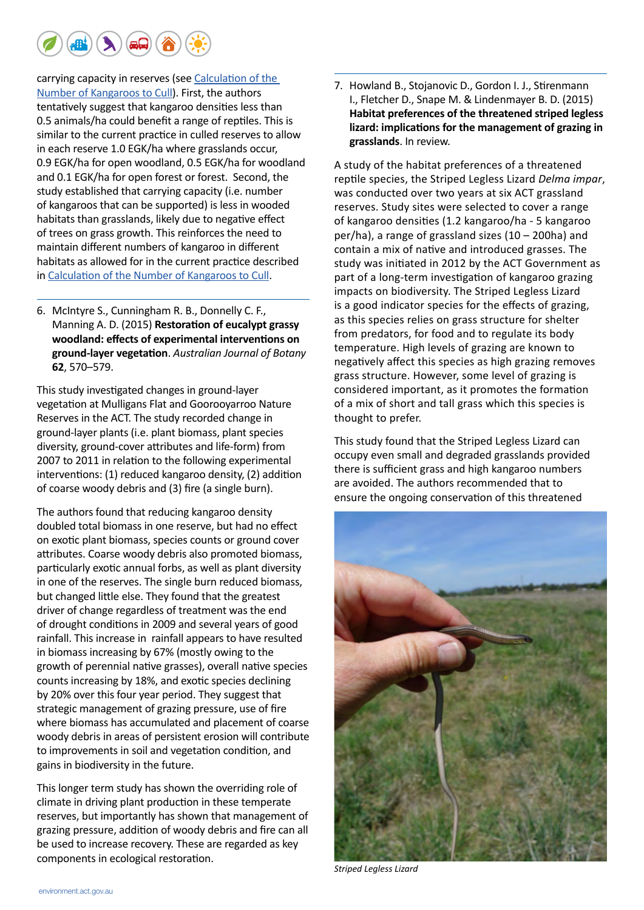

carrying capacity in reserves (see [Calculation of the](http://www.environment.act.gov.au/__data/assets/pdf_file/0004/576715/Calculation_of_the_number_of_kangaroos_to_cull_.pdf)  [Number of Kangaroos to Cull](http://www.environment.act.gov.au/__data/assets/pdf_file/0004/576715/Calculation_of_the_number_of_kangaroos_to_cull_.pdf)). First, the authors tentatively suggest that kangaroo densities less than 0.5 animals/ha could benefit a range of reptiles. This is similar to the current practice in culled reserves to allow in each reserve 1.0 EGK/ha where grasslands occur, 0.9 EGK/ha for open woodland, 0.5 EGK/ha for woodland and 0.1 EGK/ha for open forest or forest. Second, the study established that carrying capacity (i.e. number of kangaroos that can be supported) is less in wooded habitats than grasslands, likely due to negative effect of trees on grass growth. This reinforces the need to maintain different numbers of kangaroo in different habitats as allowed for in the current practice described in [Calculation of the Number of Kangaroos to Cull.](http://www.environment.act.gov.au/__data/assets/pdf_file/0004/576715/Calculation_of_the_number_of_kangaroos_to_cull_.pdf)

6. McIntyre S., Cunningham R. B., Donnelly C. F., Manning A. D. (2015) **[Restoration of eucalypt grassy](http://www.publish.csiro.au/nid/65/display/citation/paper/BT14246.htm)  [woodland: effects of experimental interventions on](http://www.publish.csiro.au/nid/65/display/citation/paper/BT14246.htm)  [ground-layer vegetation](http://www.publish.csiro.au/nid/65/display/citation/paper/BT14246.htm)**. *Australian Journal of Botany* **62**, 570–579.

This study investigated changes in ground-layer vegetation at Mulligans Flat and Goorooyarroo Nature Reserves in the ACT. The study recorded change in ground-layer plants (i.e. plant biomass, plant species diversity, ground-cover attributes and life-form) from 2007 to 2011 in relation to the following experimental interventions: (1) reduced kangaroo density, (2) addition of coarse woody debris and (3) fire (a single burn).

The authors found that reducing kangaroo density doubled total biomass in one reserve, but had no effect on exotic plant biomass, species counts or ground cover attributes. Coarse woody debris also promoted biomass, particularly exotic annual forbs, as well as plant diversity in one of the reserves. The single burn reduced biomass, but changed little else. They found that the greatest driver of change regardless of treatment was the end of drought conditions in 2009 and several years of good rainfall. This increase in rainfall appears to have resulted in biomass increasing by 67% (mostly owing to the growth of perennial native grasses), overall native species counts increasing by 18%, and exotic species declining by 20% over this four year period. They suggest that strategic management of grazing pressure, use of fire where biomass has accumulated and placement of coarse woody debris in areas of persistent erosion will contribute to improvements in soil and vegetation condition, and gains in biodiversity in the future.

This longer term study has shown the overriding role of climate in driving plant production in these temperate reserves, but importantly has shown that management of grazing pressure, addition of woody debris and fire can all be used to increase recovery. These are regarded as key components in ecological restoration.

7. Howland B., Stojanovic D., Gordon I. J., Stirenmann I., Fletcher D., Snape M. & Lindenmayer B. D. (2015) **Habitat preferences of the threatened striped legless lizard: implications for the management of grazing in grasslands**. In review.

A study of the habitat preferences of a threatened reptile species, the Striped Legless Lizard *Delma impar*, was conducted over two years at six ACT grassland reserves. Study sites were selected to cover a range of kangaroo densities (1.2 kangaroo/ha - 5 kangaroo per/ha), a range of grassland sizes (10 – 200ha) and contain a mix of native and introduced grasses. The study was initiated in 2012 by the ACT Government as part of a long-term investigation of kangaroo grazing impacts on biodiversity. The Striped Legless Lizard is a good indicator species for the effects of grazing, as this species relies on grass structure for shelter from predators, for food and to regulate its body temperature. High levels of grazing are known to negatively affect this species as high grazing removes grass structure. However, some level of grazing is considered important, as it promotes the formation of a mix of short and tall grass which this species is thought to prefer.

This study found that the Striped Legless Lizard can occupy even small and degraded grasslands provided there is sufficient grass and high kangaroo numbers are avoided. The authors recommended that to ensure the ongoing conservation of this threatened



*Striped Legless Lizard*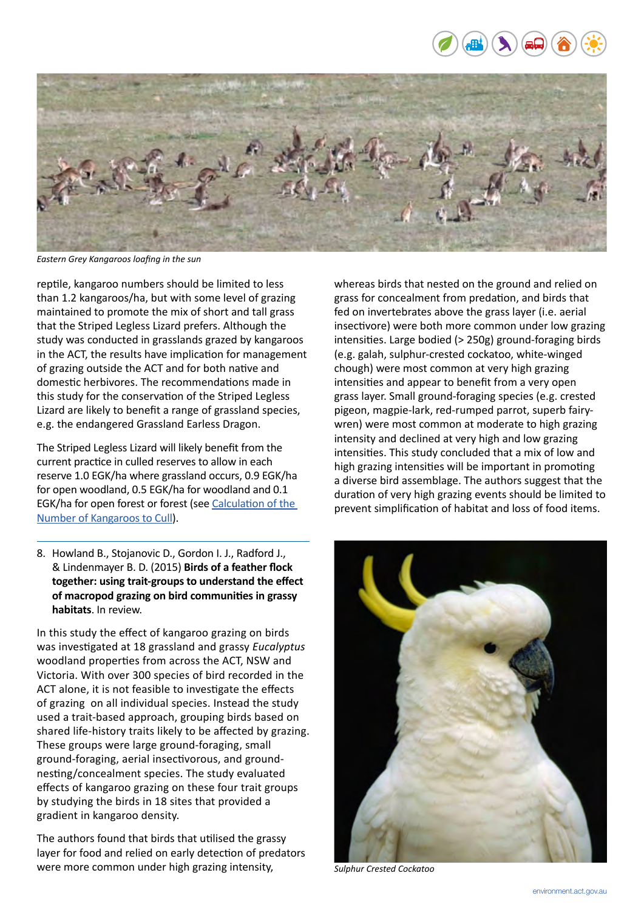



*Eastern Grey Kangaroos loafing in the sun*

reptile, kangaroo numbers should be limited to less than 1.2 kangaroos/ha, but with some level of grazing maintained to promote the mix of short and tall grass that the Striped Legless Lizard prefers. Although the study was conducted in grasslands grazed by kangaroos in the ACT, the results have implication for management of grazing outside the ACT and for both native and domestic herbivores. The recommendations made in this study for the conservation of the Striped Legless Lizard are likely to benefit a range of grassland species, e.g. the endangered Grassland Earless Dragon.

The Striped Legless Lizard will likely benefit from the current practice in culled reserves to allow in each reserve 1.0 EGK/ha where grassland occurs, 0.9 EGK/ha for open woodland, 0.5 EGK/ha for woodland and 0.1 EGK/ha for open forest or forest (see [Calculation of the](http://www.environment.act.gov.au/__data/assets/pdf_file/0004/576715/Calculation_of_the_number_of_kangaroos_to_cull_.pdf)  [Number of Kangaroos to Cull](http://www.environment.act.gov.au/__data/assets/pdf_file/0004/576715/Calculation_of_the_number_of_kangaroos_to_cull_.pdf)).

8. Howland B., Stojanovic D., Gordon I. J., Radford J., & Lindenmayer B. D. (2015) **Birds of a feather flock together: using trait-groups to understand the effect of macropod grazing on bird communities in grassy habitats**. In review.

In this study the effect of kangaroo grazing on birds was investigated at 18 grassland and grassy *Eucalyptus* woodland properties from across the ACT, NSW and Victoria. With over 300 species of bird recorded in the ACT alone, it is not feasible to investigate the effects of grazing on all individual species. Instead the study used a trait-based approach, grouping birds based on shared life-history traits likely to be affected by grazing. These groups were large ground-foraging, small ground-foraging, aerial insectivorous, and groundnesting/concealment species. The study evaluated effects of kangaroo grazing on these four trait groups by studying the birds in 18 sites that provided a gradient in kangaroo density.

The authors found that birds that utilised the grassy layer for food and relied on early detection of predators were more common under high grazing intensity,

whereas birds that nested on the ground and relied on grass for concealment from predation, and birds that fed on invertebrates above the grass layer (i.e. aerial insectivore) were both more common under low grazing intensities. Large bodied (> 250g) ground-foraging birds (e.g. galah, sulphur-crested cockatoo, white-winged chough) were most common at very high grazing intensities and appear to benefit from a very open grass layer. Small ground-foraging species (e.g. crested pigeon, magpie-lark, red-rumped parrot, superb fairywren) were most common at moderate to high grazing intensity and declined at very high and low grazing intensities. This study concluded that a mix of low and high grazing intensities will be important in promoting a diverse bird assemblage. The authors suggest that the duration of very high grazing events should be limited to prevent simplification of habitat and loss of food items.



*Sulphur Crested Cockatoo*